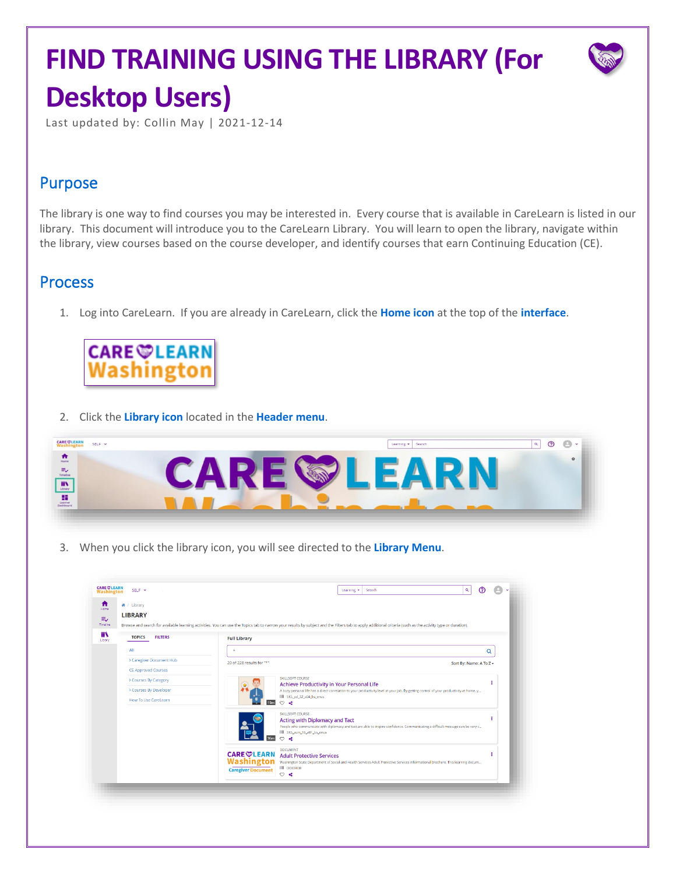# **FIND TRAINING USING THE LIBRARY (For Desktop Users)**



Last updated by: Collin May | 2021-12-14

### Purpose

The library is one way to find courses you may be interested in. Every course that is available in CareLearn is listed in our library. This document will introduce you to the CareLearn Library. You will learn to open the library, navigate within the library, view courses based on the course developer, and identify courses that earn Continuing Education (CE).

#### Process

1. Log into CareLearn. If you are already in CareLearn, click the **Home icon** at the top of the **interface**.



2. Click the **Library icon** located in the **Header menu**.



3. When you click the library icon, you will see directed to the **Library Menu**.

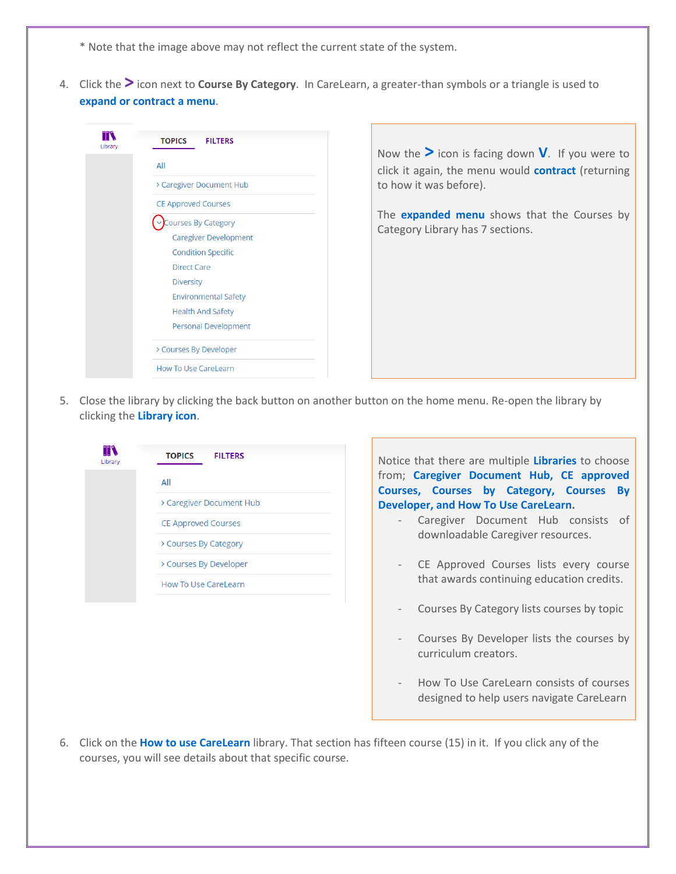\* Note that the image above may not reflect the current state of the system.

4. Click the **>** icon next to **Course By Category**. In CareLearn, a greater-than symbols or a triangle is used to **expand or contract a menu**.



Now the **>** icon is facing down **V**. If you were to click it again, the menu would **contract** (returning to how it was before).

The **expanded menu** shows that the Courses by Category Library has 7 sections.

5. Close the library by clicking the back button on another button on the home menu. Re-open the library by clicking the **Library icon**.



Notice that there are multiple **Libraries** to choose from; **Caregiver Document Hub, CE approved Courses, Courses by Category, Courses By Developer, and How To Use CareLearn.** 

- Caregiver Document Hub consists of downloadable Caregiver resources.
- CE Approved Courses lists every course that awards continuing education credits.
- Courses By Category lists courses by topic
- Courses By Developer lists the courses by curriculum creators.
- How To Use CareLearn consists of courses designed to help users navigate CareLearn
- 6. Click on the **How to use CareLearn** library. That section has fifteen course (15) in it. If you click any of the courses, you will see details about that specific course.